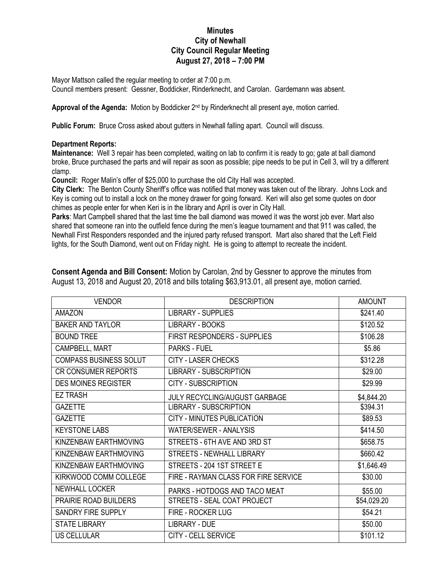## **Minutes City of Newhall City Council Regular Meeting August 27, 2018 – 7:00 PM**

Mayor Mattson called the regular meeting to order at 7:00 p.m. Council members present: Gessner, Boddicker, Rinderknecht, and Carolan. Gardemann was absent.

Approval of the Agenda: Motion by Boddicker 2<sup>nd</sup> by Rinderknecht all present aye, motion carried.

**Public Forum:** Bruce Cross asked about gutters in Newhall falling apart. Council will discuss.

## **Department Reports:**

**Maintenance:** Well 3 repair has been completed, waiting on lab to confirm it is ready to go; gate at ball diamond broke, Bruce purchased the parts and will repair as soon as possible; pipe needs to be put in Cell 3, will try a different clamp.

**Council:** Roger Malin's offer of \$25,000 to purchase the old City Hall was accepted.

**City Clerk:** The Benton County Sheriff's office was notified that money was taken out of the library. Johns Lock and Key is coming out to install a lock on the money drawer for going forward. Keri will also get some quotes on door chimes as people enter for when Keri is in the library and April is over in City Hall.

**Parks**: Mart Campbell shared that the last time the ball diamond was mowed it was the worst job ever. Mart also shared that someone ran into the outfield fence during the men's league tournament and that 911 was called, the Newhall First Responders responded and the injured party refused transport. Mart also shared that the Left Field lights, for the South Diamond, went out on Friday night. He is going to attempt to recreate the incident.

| <b>VENDOR</b>                 | <b>DESCRIPTION</b>                   | <b>AMOUNT</b> |
|-------------------------------|--------------------------------------|---------------|
| <b>AMAZON</b>                 | <b>LIBRARY - SUPPLIES</b>            | \$241.40      |
| <b>BAKER AND TAYLOR</b>       | <b>LIBRARY - BOOKS</b>               | \$120.52      |
| <b>BOUND TREE</b>             | FIRST RESPONDERS - SUPPLIES          | \$106.28      |
| CAMPBELL, MART                | <b>PARKS - FUEL</b>                  | \$5.86        |
| <b>COMPASS BUSINESS SOLUT</b> | <b>CITY - LASER CHECKS</b>           | \$312.28      |
| <b>CR CONSUMER REPORTS</b>    | <b>LIBRARY - SUBSCRIPTION</b>        | \$29.00       |
| <b>DES MOINES REGISTER</b>    | CITY - SUBSCRIPTION                  | \$29.99       |
| <b>EZ TRASH</b>               | <b>JULY RECYCLING/AUGUST GARBAGE</b> | \$4,844.20    |
| <b>GAZETTE</b>                | <b>LIBRARY - SUBSCRIPTION</b>        | \$394.31      |
| <b>GAZETTE</b>                | CITY - MINUTES PUBLICATION           | \$89.53       |
| <b>KEYSTONE LABS</b>          | <b>WATER/SEWER - ANALYSIS</b>        | \$414.50      |
| KINZENBAW EARTHMOVING         | STREETS - 6TH AVE AND 3RD ST         | \$658.75      |
| KINZENBAW EARTHMOVING         | <b>STREETS - NEWHALL LIBRARY</b>     | \$660.42      |
| KINZENBAW EARTHMOVING         | STREETS - 204 1ST STREET E           | \$1,646.49    |
| KIRKWOOD COMM COLLEGE         | FIRE - RAYMAN CLASS FOR FIRE SERVICE | \$30.00       |
| <b>NEWHALL LOCKER</b>         | PARKS - HOTDOGS AND TACO MEAT        | \$55.00       |
| PRAIRIE ROAD BUILDERS         | STREETS - SEAL COAT PROJECT          | \$54,029.20   |
| <b>SANDRY FIRE SUPPLY</b>     | FIRE - ROCKER LUG                    | \$54.21       |
| <b>STATE LIBRARY</b>          | <b>LIBRARY - DUE</b>                 | \$50.00       |
| <b>US CELLULAR</b>            | <b>CITY - CELL SERVICE</b>           | \$101.12      |

**Consent Agenda and Bill Consent:** Motion by Carolan, 2nd by Gessner to approve the minutes from August 13, 2018 and August 20, 2018 and bills totaling \$63,913.01, all present aye, motion carried.